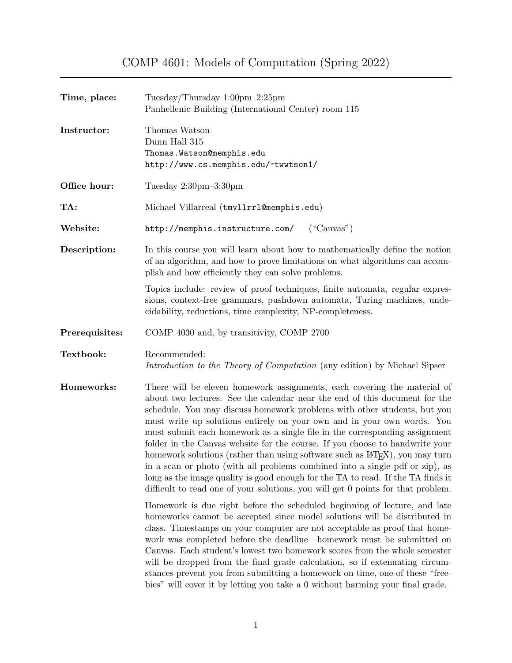COMP 4601: Models of Computation (Spring 2022)

| Time, place:   | Tuesday/Thursday 1:00pm-2:25pm<br>Panhellenic Building (International Center) room 115                                                                                                                                                                                                                                                                                                                                                                                                                                                                                                                                                                                                                                                                                                                                         |  |  |
|----------------|--------------------------------------------------------------------------------------------------------------------------------------------------------------------------------------------------------------------------------------------------------------------------------------------------------------------------------------------------------------------------------------------------------------------------------------------------------------------------------------------------------------------------------------------------------------------------------------------------------------------------------------------------------------------------------------------------------------------------------------------------------------------------------------------------------------------------------|--|--|
| Instructor:    | Thomas Watson<br>Dunn Hall 315<br>Thomas. Watson@memphis.edu<br>http://www.cs.memphis.edu/~twwtson1/                                                                                                                                                                                                                                                                                                                                                                                                                                                                                                                                                                                                                                                                                                                           |  |  |
| Office hour:   | Tuesday $2:30 \text{pm} - 3:30 \text{pm}$                                                                                                                                                                                                                                                                                                                                                                                                                                                                                                                                                                                                                                                                                                                                                                                      |  |  |
| TA:            | Michael Villarreal (tmv11rr1@memphis.edu)                                                                                                                                                                                                                                                                                                                                                                                                                                                                                                                                                                                                                                                                                                                                                                                      |  |  |
| Website:       | http://memphis.instructure.com/<br>$($ "Canvas" $)$                                                                                                                                                                                                                                                                                                                                                                                                                                                                                                                                                                                                                                                                                                                                                                            |  |  |
| Description:   | In this course you will learn about how to mathematically define the notion<br>of an algorithm, and how to prove limitations on what algorithms can accom-<br>plish and how efficiently they can solve problems.                                                                                                                                                                                                                                                                                                                                                                                                                                                                                                                                                                                                               |  |  |
|                | Topics include: review of proof techniques, finite automata, regular expres-<br>sions, context-free grammars, pushdown automata, Turing machines, unde-<br>cidability, reductions, time complexity, NP-completeness.                                                                                                                                                                                                                                                                                                                                                                                                                                                                                                                                                                                                           |  |  |
| Prerequisites: | COMP 4030 and, by transitivity, COMP 2700                                                                                                                                                                                                                                                                                                                                                                                                                                                                                                                                                                                                                                                                                                                                                                                      |  |  |
| Textbook:      | Recommended:<br>Introduction to the Theory of Computation (any edition) by Michael Sipser                                                                                                                                                                                                                                                                                                                                                                                                                                                                                                                                                                                                                                                                                                                                      |  |  |
| Homeworks:     | There will be eleven homework assignments, each covering the material of<br>about two lectures. See the calendar near the end of this document for the<br>schedule. You may discuss homework problems with other students, but you<br>must write up solutions entirely on your own and in your own words. You<br>must submit each homework as a single file in the corresponding assignment<br>folder in the Canvas website for the course. If you choose to handwrite your<br>homework solutions (rather than using software such as IAT <sub>F</sub> X), you may turn<br>in a scan or photo (with all problems combined into a single pdf or zip), as<br>long as the image quality is good enough for the TA to read. If the TA finds it<br>difficult to read one of your solutions, you will get 0 points for that problem. |  |  |
|                | Homework is due right before the scheduled beginning of lecture, and late<br>homeworks cannot be accepted since model solutions will be distributed in<br>class. Timestamps on your computer are not acceptable as proof that home-<br>work was completed before the deadline—homework must be submitted on<br>Canvas. Each student's lowest two homework scores from the whole semester<br>will be dropped from the final grade calculation, so if extenuating circum-<br>stances prevent you from submitting a homework on time, one of these "free-<br>bies" will cover it by letting you take a 0 without harming your final grade.                                                                                                                                                                                        |  |  |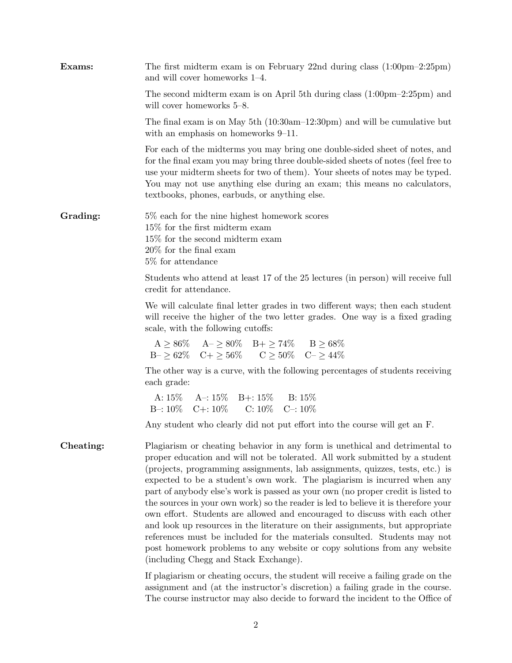| Exams:    | The first midterm exam is on February 22nd during class $(1:00 \text{pm} - 2:25 \text{pm})$<br>and will cover homeworks 1-4.                                                                                                                                                                                                                                                                                                                                                                                                                                                                                                                                                                                                                                                                                                                                       |
|-----------|--------------------------------------------------------------------------------------------------------------------------------------------------------------------------------------------------------------------------------------------------------------------------------------------------------------------------------------------------------------------------------------------------------------------------------------------------------------------------------------------------------------------------------------------------------------------------------------------------------------------------------------------------------------------------------------------------------------------------------------------------------------------------------------------------------------------------------------------------------------------|
|           | The second midterm exam is on April 5th during class $(1:00 \text{pm} - 2:25 \text{pm})$ and<br>will cover homeworks 5–8.                                                                                                                                                                                                                                                                                                                                                                                                                                                                                                                                                                                                                                                                                                                                          |
|           | The final exam is on May 5th $(10:30am-12:30pm)$ and will be cumulative but<br>with an emphasis on homeworks 9–11.                                                                                                                                                                                                                                                                                                                                                                                                                                                                                                                                                                                                                                                                                                                                                 |
|           | For each of the midterms you may bring one double-sided sheet of notes, and<br>for the final exam you may bring three double-sided sheets of notes (feel free to<br>use your midterm sheets for two of them). Your sheets of notes may be typed.<br>You may not use anything else during an exam; this means no calculators,<br>textbooks, phones, earbuds, or anything else.                                                                                                                                                                                                                                                                                                                                                                                                                                                                                      |
| Grading:  | 5\% each for the nine highest homework scores<br>$15\%$ for the first midterm exam<br>15% for the second midterm exam<br>$20\%$ for the final exam<br>5\% for attendance                                                                                                                                                                                                                                                                                                                                                                                                                                                                                                                                                                                                                                                                                           |
|           | Students who attend at least 17 of the 25 lectures (in person) will receive full<br>credit for attendance.                                                                                                                                                                                                                                                                                                                                                                                                                                                                                                                                                                                                                                                                                                                                                         |
|           | We will calculate final letter grades in two different ways; then each student<br>will receive the higher of the two letter grades. One way is a fixed grading<br>scale, with the following cutoffs:                                                                                                                                                                                                                                                                                                                                                                                                                                                                                                                                                                                                                                                               |
|           | $\label{eq:boundA} \mathrm{A} \geq 86\% \quad \  \mathrm{A} \text{--} \geq 80\% \quad \mathrm{B} \text{+} \geq 74\% \quad \  \  \mathrm{B} \geq 68\%$<br>$B - \geq 62\%$ $C + \geq 56\%$ $C \geq 50\%$ $C - \geq 44\%$                                                                                                                                                                                                                                                                                                                                                                                                                                                                                                                                                                                                                                             |
|           | The other way is a curve, with the following percentages of students receiving<br>each grade:                                                                                                                                                                                                                                                                                                                                                                                                                                                                                                                                                                                                                                                                                                                                                                      |
|           | A: $15\%$ A -: $15\%$ B +: $15\%$ B: $15\%$<br>B-: 10\% C+: 10\% C: 10\% C-: 10\%                                                                                                                                                                                                                                                                                                                                                                                                                                                                                                                                                                                                                                                                                                                                                                                  |
|           | Any student who clearly did not put effort into the course will get an F.                                                                                                                                                                                                                                                                                                                                                                                                                                                                                                                                                                                                                                                                                                                                                                                          |
| Cheating: | Plagiarism or cheating behavior in any form is unethical and detrimental to<br>proper education and will not be tolerated. All work submitted by a student<br>(projects, programming assignments, lab assignments, quizzes, tests, etc.) is<br>expected to be a student's own work. The plagiarism is incurred when any<br>part of anybody else's work is passed as your own (no proper credit is listed to<br>the sources in your own work) so the reader is led to believe it is therefore your<br>own effort. Students are allowed and encouraged to discuss with each other<br>and look up resources in the literature on their assignments, but appropriate<br>references must be included for the materials consulted. Students may not<br>post homework problems to any website or copy solutions from any website<br>(including Chegg and Stack Exchange). |
|           | If plagiarism or cheating occurs, the student will receive a failing grade on the                                                                                                                                                                                                                                                                                                                                                                                                                                                                                                                                                                                                                                                                                                                                                                                  |

assignment and (at the instructor's discretion) a failing grade in the course. The course instructor may also decide to forward the incident to the Office of